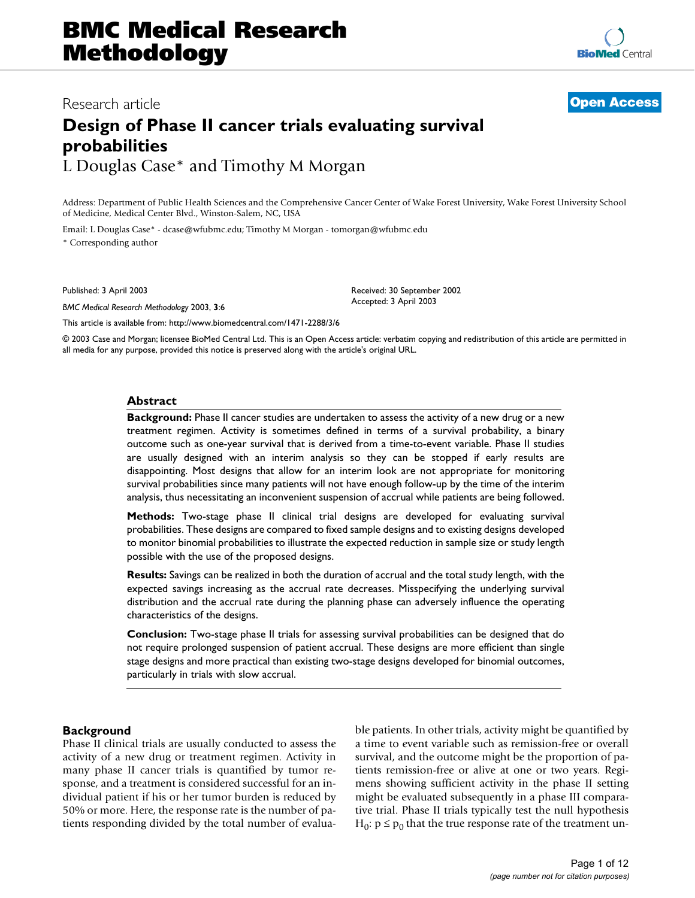# **BMC Medical Research Methodology**

## Research article **[Open Access](http://www.biomedcentral.com/info/about/charter/)**

## **Design of Phase II cancer trials evaluating survival probabilities** L Douglas Case\* and Timothy M Morgan

Address: Department of Public Health Sciences and the Comprehensive Cancer Center of Wake Forest University, Wake Forest University School of Medicine, Medical Center Blvd., Winston-Salem, NC, USA

Email: L Douglas Case\* - dcase@wfubmc.edu; Timothy M Morgan - tomorgan@wfubmc.edu \* Corresponding author

Published: 3 April 2003

*BMC Medical Research Methodology* 2003, **3**:6

Received: 30 September 2002 Accepted: 3 April 2003

[This article is available from: http://www.biomedcentral.com/1471-2288/3/6](http://www.biomedcentral.com/1471-2288/3/6)

© 2003 Case and Morgan; licensee BioMed Central Ltd. This is an Open Access article: verbatim copying and redistribution of this article are permitted in all media for any purpose, provided this notice is preserved along with the article's original URL.

#### **Abstract**

**Background:** Phase II cancer studies are undertaken to assess the activity of a new drug or a new treatment regimen. Activity is sometimes defined in terms of a survival probability, a binary outcome such as one-year survival that is derived from a time-to-event variable. Phase II studies are usually designed with an interim analysis so they can be stopped if early results are disappointing. Most designs that allow for an interim look are not appropriate for monitoring survival probabilities since many patients will not have enough follow-up by the time of the interim analysis, thus necessitating an inconvenient suspension of accrual while patients are being followed.

**Methods:** Two-stage phase II clinical trial designs are developed for evaluating survival probabilities. These designs are compared to fixed sample designs and to existing designs developed to monitor binomial probabilities to illustrate the expected reduction in sample size or study length possible with the use of the proposed designs.

**Results:** Savings can be realized in both the duration of accrual and the total study length, with the expected savings increasing as the accrual rate decreases. Misspecifying the underlying survival distribution and the accrual rate during the planning phase can adversely influence the operating characteristics of the designs.

**Conclusion:** Two-stage phase II trials for assessing survival probabilities can be designed that do not require prolonged suspension of patient accrual. These designs are more efficient than single stage designs and more practical than existing two-stage designs developed for binomial outcomes, particularly in trials with slow accrual.

## **Background**

Phase II clinical trials are usually conducted to assess the activity of a new drug or treatment regimen. Activity in many phase II cancer trials is quantified by tumor response, and a treatment is considered successful for an individual patient if his or her tumor burden is reduced by 50% or more. Here, the response rate is the number of patients responding divided by the total number of evaluable patients. In other trials, activity might be quantified by a time to event variable such as remission-free or overall survival, and the outcome might be the proportion of patients remission-free or alive at one or two years. Regimens showing sufficient activity in the phase II setting might be evaluated subsequently in a phase III comparative trial. Phase II trials typically test the null hypothesis  $H_0: p \leq p_0$  that the true response rate of the treatment un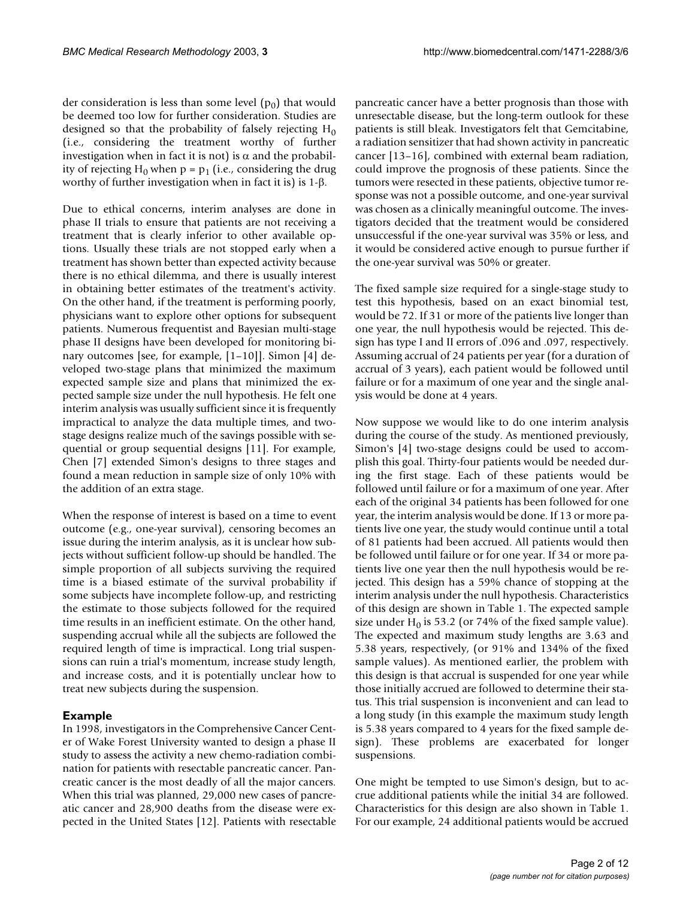der consideration is less than some level  $(p_0)$  that would be deemed too low for further consideration. Studies are designed so that the probability of falsely rejecting  $H_0$ (i.e., considering the treatment worthy of further investigation when in fact it is not) is  $\alpha$  and the probability of rejecting H<sub>0</sub> when  $p = p_1$  (i.e., considering the drug worthy of further investigation when in fact it is) is  $1-\beta$ .

Due to ethical concerns, interim analyses are done in phase II trials to ensure that patients are not receiving a treatment that is clearly inferior to other available options. Usually these trials are not stopped early when a treatment has shown better than expected activity because there is no ethical dilemma, and there is usually interest in obtaining better estimates of the treatment's activity. On the other hand, if the treatment is performing poorly, physicians want to explore other options for subsequent patients. Numerous frequentist and Bayesian multi-stage phase II designs have been developed for monitoring binary outcomes [see, for example, [1–10]]. Simon [4] developed two-stage plans that minimized the maximum expected sample size and plans that minimized the expected sample size under the null hypothesis. He felt one interim analysis was usually sufficient since it is frequently impractical to analyze the data multiple times, and twostage designs realize much of the savings possible with sequential or group sequential designs [11]. For example, Chen [7] extended Simon's designs to three stages and found a mean reduction in sample size of only 10% with the addition of an extra stage.

When the response of interest is based on a time to event outcome (e.g., one-year survival), censoring becomes an issue during the interim analysis, as it is unclear how subjects without sufficient follow-up should be handled. The simple proportion of all subjects surviving the required time is a biased estimate of the survival probability if some subjects have incomplete follow-up, and restricting the estimate to those subjects followed for the required time results in an inefficient estimate. On the other hand, suspending accrual while all the subjects are followed the required length of time is impractical. Long trial suspensions can ruin a trial's momentum, increase study length, and increase costs, and it is potentially unclear how to treat new subjects during the suspension.

## **Example**

In 1998, investigators in the Comprehensive Cancer Center of Wake Forest University wanted to design a phase II study to assess the activity a new chemo-radiation combination for patients with resectable pancreatic cancer. Pancreatic cancer is the most deadly of all the major cancers. When this trial was planned, 29,000 new cases of pancreatic cancer and 28,900 deaths from the disease were expected in the United States [12]. Patients with resectable pancreatic cancer have a better prognosis than those with unresectable disease, but the long-term outlook for these patients is still bleak. Investigators felt that Gemcitabine, a radiation sensitizer that had shown activity in pancreatic cancer [13–16], combined with external beam radiation, could improve the prognosis of these patients. Since the tumors were resected in these patients, objective tumor response was not a possible outcome, and one-year survival was chosen as a clinically meaningful outcome. The investigators decided that the treatment would be considered unsuccessful if the one-year survival was 35% or less, and it would be considered active enough to pursue further if the one-year survival was 50% or greater.

The fixed sample size required for a single-stage study to test this hypothesis, based on an exact binomial test, would be 72. If 31 or more of the patients live longer than one year, the null hypothesis would be rejected. This design has type I and II errors of .096 and .097, respectively. Assuming accrual of 24 patients per year (for a duration of accrual of 3 years), each patient would be followed until failure or for a maximum of one year and the single analysis would be done at 4 years.

Now suppose we would like to do one interim analysis during the course of the study. As mentioned previously, Simon's [4] two-stage designs could be used to accomplish this goal. Thirty-four patients would be needed during the first stage. Each of these patients would be followed until failure or for a maximum of one year. After each of the original 34 patients has been followed for one year, the interim analysis would be done. If 13 or more patients live one year, the study would continue until a total of 81 patients had been accrued. All patients would then be followed until failure or for one year. If 34 or more patients live one year then the null hypothesis would be rejected. This design has a 59% chance of stopping at the interim analysis under the null hypothesis. Characteristics of this design are shown in Table [1](#page-2-0). The expected sample size under H<sub>0</sub> is 53.2 (or 74% of the fixed sample value). The expected and maximum study lengths are 3.63 and 5.38 years, respectively, (or 91% and 134% of the fixed sample values). As mentioned earlier, the problem with this design is that accrual is suspended for one year while those initially accrued are followed to determine their status. This trial suspension is inconvenient and can lead to a long study (in this example the maximum study length is 5.38 years compared to 4 years for the fixed sample design). These problems are exacerbated for longer suspensions.

One might be tempted to use Simon's design, but to accrue additional patients while the initial 34 are followed. Characteristics for this design are also shown in Table [1.](#page-2-0) For our example, 24 additional patients would be accrued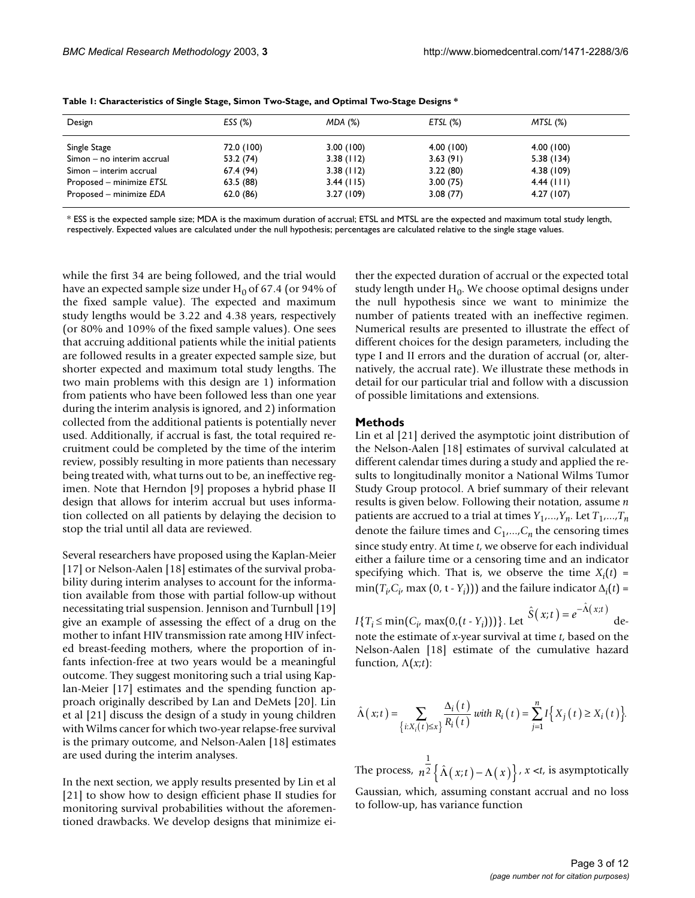| Design                     | ESS(%)     | MDA (%)   | ETSL(%)   | MTSL (%)     |
|----------------------------|------------|-----------|-----------|--------------|
| Single Stage               | 72.0 (100) | 3.00(100) | 4.00(100) | 4.00(100)    |
| Simon – no interim accrual | 53.2 (74)  | 3.38(112) | 3.63(91)  | 5.38(134)    |
| Simon - interim accrual    | 67.4 (94)  | 3.38(112) | 3.22(80)  | 4.38 (109)   |
| Proposed - minimize ETSL   | 63.5 (88)  | 3.44(115) | 3.00(75)  | $4.44$ (111) |
| Proposed - minimize EDA    | 62.0(86)   | 3.27(109) | 3.08(77)  | 4.27(107)    |

<span id="page-2-0"></span>**Table 1: Characteristics of Single Stage, Simon Two-Stage, and Optimal Two-Stage Designs \***

\* ESS is the expected sample size; MDA is the maximum duration of accrual; ETSL and MTSL are the expected and maximum total study length, respectively. Expected values are calculated under the null hypothesis; percentages are calculated relative to the single stage values.

while the first 34 are being followed, and the trial would have an expected sample size under  $H_0$  of 67.4 (or 94% of the fixed sample value). The expected and maximum study lengths would be 3.22 and 4.38 years, respectively (or 80% and 109% of the fixed sample values). One sees that accruing additional patients while the initial patients are followed results in a greater expected sample size, but shorter expected and maximum total study lengths. The two main problems with this design are 1) information from patients who have been followed less than one year during the interim analysis is ignored, and 2) information collected from the additional patients is potentially never used. Additionally, if accrual is fast, the total required recruitment could be completed by the time of the interim review, possibly resulting in more patients than necessary being treated with, what turns out to be, an ineffective regimen. Note that Herndon [9] proposes a hybrid phase II design that allows for interim accrual but uses information collected on all patients by delaying the decision to stop the trial until all data are reviewed.

Several researchers have proposed using the Kaplan-Meier [17] or Nelson-Aalen [18] estimates of the survival probability during interim analyses to account for the information available from those with partial follow-up without necessitating trial suspension. Jennison and Turnbull [19] give an example of assessing the effect of a drug on the mother to infant HIV transmission rate among HIV infected breast-feeding mothers, where the proportion of infants infection-free at two years would be a meaningful outcome. They suggest monitoring such a trial using Kaplan-Meier [17] estimates and the spending function approach originally described by Lan and DeMets [20]. Lin et al [21] discuss the design of a study in young children with Wilms cancer for which two-year relapse-free survival is the primary outcome, and Nelson-Aalen [18] estimates are used during the interim analyses.

In the next section, we apply results presented by Lin et al [21] to show how to design efficient phase II studies for monitoring survival probabilities without the aforementioned drawbacks. We develop designs that minimize either the expected duration of accrual or the expected total study length under  $H_0$ . We choose optimal designs under the null hypothesis since we want to minimize the number of patients treated with an ineffective regimen. Numerical results are presented to illustrate the effect of different choices for the design parameters, including the type I and II errors and the duration of accrual (or, alternatively, the accrual rate). We illustrate these methods in detail for our particular trial and follow with a discussion of possible limitations and extensions.

## **Methods**

Lin et al [21] derived the asymptotic joint distribution of the Nelson-Aalen [18] estimates of survival calculated at different calendar times during a study and applied the results to longitudinally monitor a National Wilms Tumor Study Group protocol. A brief summary of their relevant results is given below. Following their notation, assume *n* patients are accrued to a trial at times  $Y_1, \ldots, Y_n$ . Let  $T_1, \ldots, T_n$ denote the failure times and  $C_1$ ,..., $C_n$  the censoring times since study entry. At time *t*, we observe for each individual either a failure time or a censoring time and an indicator specifying which. That is, we observe the time  $X_i(t)$  =  $\min(T_i, C_i, \max(0, t - Y_i))$  and the failure indicator  $\Delta_i(t)$  =

*I*{*T<sub>i</sub>* ≤ min(*C<sub>i</sub>*, max(0,(*t* - *Y<sub>i</sub>*)))}. Let  $\hat{S}(x;t) = e^{-\hat{A}(x;t)}$  denote the estimate of *x*-year survival at time *t*, based on the Nelson-Aalen [18] estimate of the cumulative hazard function, Λ(*x*;*t*):

$$
\hat{\Lambda}(x;t) = \sum_{\{i:X_i(t)\leq x\}} \frac{\Delta_i(t)}{R_i(t)} \text{ with } R_i(t) = \sum_{j=1}^n I\big\{X_j(t) \geq X_i(t)\big\}.
$$

The process,  $n^2 \left\{ \hat{\Lambda} (x;t) - \Lambda (x) \right\}$ ,  $x \le t$ , is asymptotically Gaussian, which, assuming constant accrual and no loss to follow-up, has variance function 1  $2\left\{\hat{\Lambda}(x;t)-\Lambda(x)\right\}$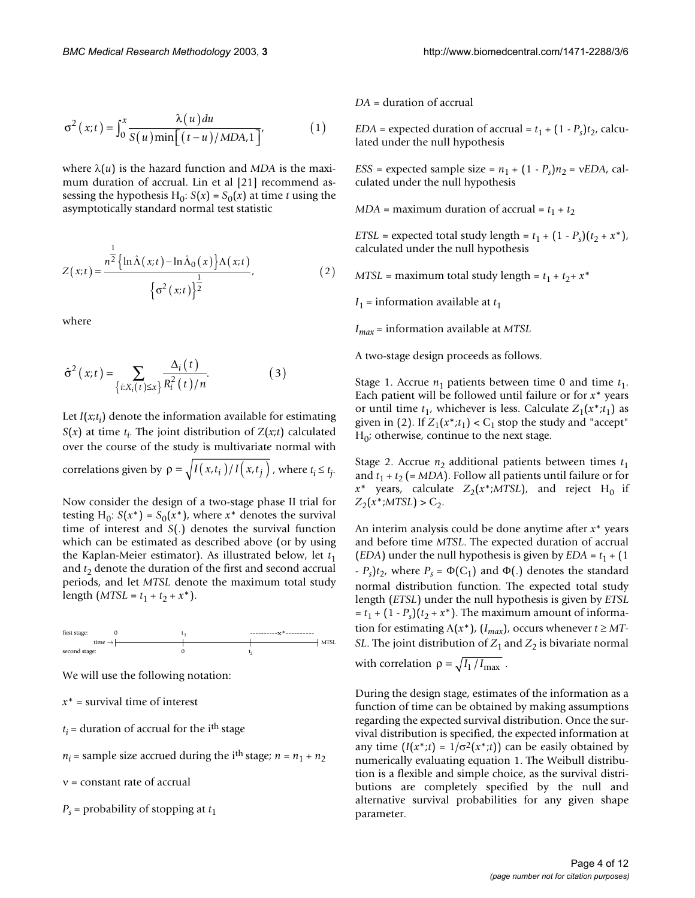$$
\sigma^{2}(x;t) = \int_{0}^{x} \frac{\lambda(u)du}{S(u)\min[(t-u)/MDA,1]},
$$
 (1)

where  $\lambda(u)$  is the hazard function and *MDA* is the maximum duration of accrual. Lin et al [21] recommend assessing the hypothesis H<sub>0</sub>: *S*(*x*) = *S*<sub>0</sub>(*x*) at time *t* using the asymptotically standard normal test statistic

$$
Z(x;t) = \frac{n^{\frac{1}{2}} \left\{ \ln \hat{\Lambda}(x;t) - \ln \hat{\Lambda}_0(x) \right\} \Lambda(x;t)}{\left\{ \sigma^2(x;t) \right\}^{\frac{1}{2}}},\tag{2}
$$

where

$$
\hat{\sigma}^2(x;t) = \sum_{\{i:X_i(t)\leq x\}} \frac{\Delta_i(t)}{R_i^2(t)/n}.
$$
 (3)

Let *I*(*x*;*ti* ) denote the information available for estimating *S*(*x*) at time *ti* . The joint distribution of Z(*x*;*t*) calculated over the course of the study is multivariate normal with correlations given by  $\rho = \sqrt{I(x, t_i) / I(x, t_j)}$ , where  $t_i \leq t_j$ .

Now consider the design of a two-stage phase II trial for testing H<sub>0</sub>:  $S(x^*) = S_0(x^*)$ , where  $x^*$  denotes the survival time of interest and *S*(.) denotes the survival function which can be estimated as described above (or by using the Kaplan-Meier estimator). As illustrated below, let  $t_1$ and  $t_2$  denote the duration of the first and second accrual periods, and let *MTSL* denote the maximum total study length  $(MTSL = t_1 + t_2 + x^*)$ .



We will use the following notation:

*x*\* = survival time of interest

 $t_i$  = duration of accrual for the i<sup>th</sup> stage

 $n_i$  = sample size accrued during the i<sup>th</sup> stage;  $n = n_1 + n_2$ 

ν = constant rate of accrual

 $P_s$  = probability of stopping at  $t_1$ 

*DA* = duration of accrual

*EDA* = expected duration of accrual =  $t_1 + (1 - P_s)t_2$ , calculated under the null hypothesis

*ESS* = expected sample size =  $n_1 + (1 - P_s)n_2$  = *vEDA*, calculated under the null hypothesis

*MDA* = maximum duration of accrual =  $t_1 + t_2$ 

*ETSL* = expected total study length =  $t_1 + (1 - P_s)(t_2 + x^*)$ , calculated under the null hypothesis

*MTSL* = maximum total study length =  $t_1 + t_2 + x^*$ 

 $I_1$  = information available at  $t_1$ 

*Imax* = information available at *MTSL*

A two-stage design proceeds as follows.

Stage 1. Accrue  $n_1$  patients between time 0 and time  $t_1$ . Each patient will be followed until failure or for *x*\* years or until time  $t_1$ , whichever is less. Calculate  $Z_1(x^*; t_1)$  as given in (2). If  $Z_1(x^*; t_1) < C_1$  stop the study and "accept"  $H_0$ ; otherwise, continue to the next stage.

Stage 2. Accrue  $n_2$  additional patients between times  $t_1$ and  $t_1 + t_2$  (= *MDA*). Follow all patients until failure or for  $x^*$  years, calculate  $Z_2(x^*; MTSL)$ , and reject H<sub>0</sub> if  $Z_2(x^*;MTSL) > C_2$ .

An interim analysis could be done anytime after *x*\* years and before time *MTSL*. The expected duration of accrual (*EDA*) under the null hypothesis is given by  $EDA = t_1 + (1$  $-P_s$ ) $t_2$ , where  $P_s = \Phi(C_1)$  and  $\Phi(.)$  denotes the standard normal distribution function. The expected total study length (*ETSL*) under the null hypothesis is given by *ETSL*  $= t_1 + (1 - P_s)(t_2 + x^*)$ . The maximum amount of information for estimating  $\Lambda(x^*)$ ,  $(I_{max})$ , occurs whenever  $t \geq MT$ -*SL*. The joint distribution of  $Z_1$  and  $Z_2$  is bivariate normal with correlation  $\rho = \sqrt{I_1 / I_{\text{max}}}$ .

During the design stage, estimates of the information as a function of time can be obtained by making assumptions regarding the expected survival distribution. Once the survival distribution is specified, the expected information at any time  $(I(x^*;t) = 1/\sigma^2(x^*;t))$  can be easily obtained by numerically evaluating equation 1. The Weibull distribution is a flexible and simple choice, as the survival distributions are completely specified by the null and alternative survival probabilities for any given shape parameter.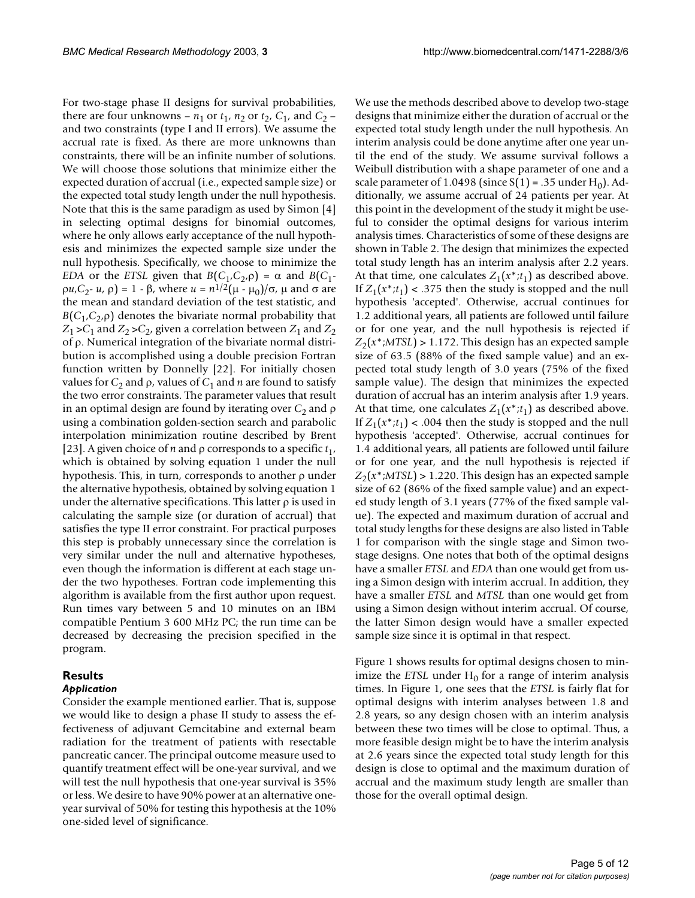For two-stage phase II designs for survival probabilities, there are four unknowns –  $n_1$  or  $t_1$ ,  $n_2$  or  $t_2$ ,  $C_1$ , and  $C_2$  – and two constraints (type I and II errors). We assume the accrual rate is fixed. As there are more unknowns than constraints, there will be an infinite number of solutions. We will choose those solutions that minimize either the expected duration of accrual (i.e., expected sample size) or the expected total study length under the null hypothesis. Note that this is the same paradigm as used by Simon [4] in selecting optimal designs for binomial outcomes, where he only allows early acceptance of the null hypothesis and minimizes the expected sample size under the null hypothesis. Specifically, we choose to minimize the *EDA* or the *ETSL* given that  $B(C_1, C_2, \rho) = \alpha$  and  $B(C_1 - \rho)$ *ρu*,*C*<sub>2</sub>- *u*, *ρ*) = 1 - β, where  $u = n^{1/2}(\mu - \mu_0)/\sigma$ ,  $\mu$  and  $\sigma$  are the mean and standard deviation of the test statistic, and  $B(C_1, C_2, \rho)$  denotes the bivariate normal probability that  $Z_1$  >  $C_1$  and  $Z_2$  >  $C_2$ , given a correlation between  $Z_1$  and  $Z_2$ of ρ. Numerical integration of the bivariate normal distribution is accomplished using a double precision Fortran function written by Donnelly [22]. For initially chosen values for  $C_2$  and  $\rho$ , values of  $C_1$  and  $n$  are found to satisfy the two error constraints. The parameter values that result in an optimal design are found by iterating over  $C_2$  and  $\rho$ using a combination golden-section search and parabolic interpolation minimization routine described by Brent [23]. A given choice of *n* and  $\rho$  corresponds to a specific  $t_1$ , which is obtained by solving equation 1 under the null hypothesis. This, in turn, corresponds to another ρ under the alternative hypothesis, obtained by solving equation 1 under the alternative specifications. This latter  $\rho$  is used in calculating the sample size (or duration of accrual) that satisfies the type II error constraint. For practical purposes this step is probably unnecessary since the correlation is very similar under the null and alternative hypotheses, even though the information is different at each stage under the two hypotheses. Fortran code implementing this algorithm is available from the first author upon request. Run times vary between 5 and 10 minutes on an IBM compatible Pentium 3 600 MHz PC; the run time can be decreased by decreasing the precision specified in the program.

## **Results**

### *Application*

Consider the example mentioned earlier. That is, suppose we would like to design a phase II study to assess the effectiveness of adjuvant Gemcitabine and external beam radiation for the treatment of patients with resectable pancreatic cancer. The principal outcome measure used to quantify treatment effect will be one-year survival, and we will test the null hypothesis that one-year survival is 35% or less. We desire to have 90% power at an alternative oneyear survival of 50% for testing this hypothesis at the 10% one-sided level of significance.

We use the methods described above to develop two-stage designs that minimize either the duration of accrual or the expected total study length under the null hypothesis. An interim analysis could be done anytime after one year until the end of the study. We assume survival follows a Weibull distribution with a shape parameter of one and a scale parameter of 1.0498 (since  $S(1) = .35$  under  $H_0$ ). Additionally, we assume accrual of 24 patients per year. At this point in the development of the study it might be useful to consider the optimal designs for various interim analysis times. Characteristics of some of these designs are shown in Table [2.](#page-5-0) The design that minimizes the expected total study length has an interim analysis after 2.2 years. At that time, one calculates  $Z_1(x^*; t_1)$  as described above. If  $Z_1(x^*; t_1)$  < .375 then the study is stopped and the null hypothesis 'accepted'. Otherwise, accrual continues for 1.2 additional years, all patients are followed until failure or for one year, and the null hypothesis is rejected if  $Z_2(x^*$ ;*MTSL*) > 1.172. This design has an expected sample size of 63.5 (88% of the fixed sample value) and an expected total study length of 3.0 years (75% of the fixed sample value). The design that minimizes the expected duration of accrual has an interim analysis after 1.9 years. At that time, one calculates  $Z_1(x^*; t_1)$  as described above. If  $Z_1(x^*; t_1)$  < .004 then the study is stopped and the null hypothesis 'accepted'. Otherwise, accrual continues for 1.4 additional years, all patients are followed until failure or for one year, and the null hypothesis is rejected if  $Z_2(x^*$ ;*MTSL*) > 1.220. This design has an expected sample size of 62 (86% of the fixed sample value) and an expected study length of 3.1 years (77% of the fixed sample value). The expected and maximum duration of accrual and total study lengths for these designs are also listed in Table [1](#page-2-0) for comparison with the single stage and Simon twostage designs. One notes that both of the optimal designs have a smaller *ETSL* and *EDA* than one would get from using a Simon design with interim accrual. In addition, they have a smaller *ETSL* and *MTSL* than one would get from using a Simon design without interim accrual. Of course, the latter Simon design would have a smaller expected sample size since it is optimal in that respect.

Figure [1](#page-6-0) shows results for optimal designs chosen to minimize the *ETSL* under  $H_0$  for a range of interim analysis times. In Figure [1,](#page-6-0) one sees that the *ETSL* is fairly flat for optimal designs with interim analyses between 1.8 and 2.8 years, so any design chosen with an interim analysis between these two times will be close to optimal. Thus, a more feasible design might be to have the interim analysis at 2.6 years since the expected total study length for this design is close to optimal and the maximum duration of accrual and the maximum study length are smaller than those for the overall optimal design.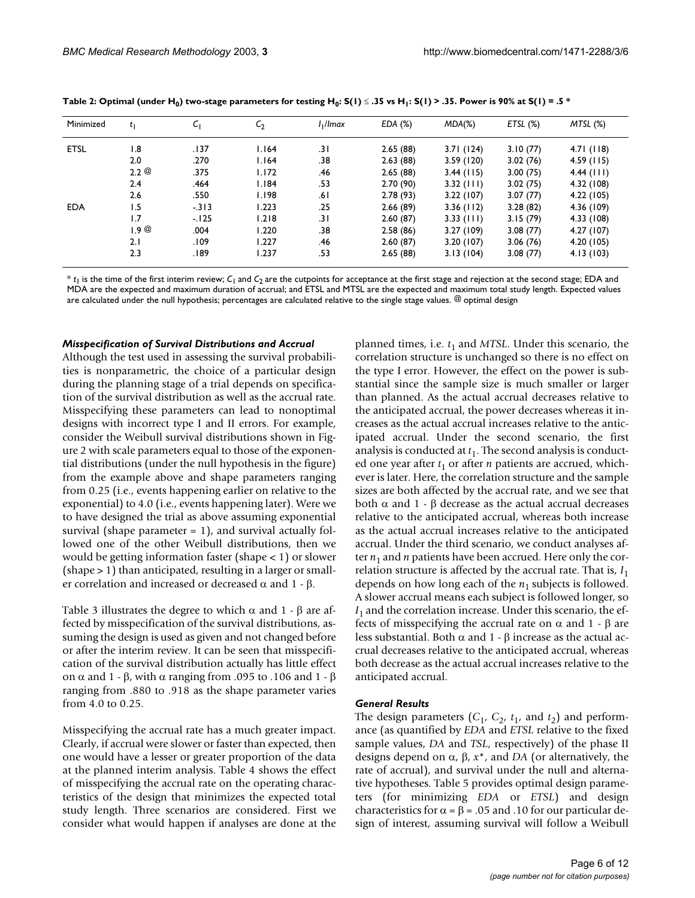| Minimized   | $t_{\parallel}$    | c,     | $C_2$ | I <sub>1</sub> /Imax | EDA(%)   | $MDA(\%)$    | ETSL(%)  | MTSL(%)      |
|-------------|--------------------|--------|-------|----------------------|----------|--------------|----------|--------------|
| <b>ETSL</b> | $\overline{1.8}$   | .137   | 1.164 | .31                  | 2.65(88) | 3.71(124)    | 3.10(77) | 4.71(118)    |
|             | 2.0                | .270   | 1.164 | .38                  | 2.63(88) | 3.59(120)    | 3.02(76) | 4.59(115)    |
|             | $2.2 \circledcirc$ | .375   | 1.172 | .46                  | 2.65(88) | $3.44$ (115) | 3.00(75) | $4.44$ (111) |
|             | 2.4                | .464   | 1.184 | .53                  | 2.70(90) | $3.32$ (111) | 3.02(75) | 4.32 (108)   |
|             | 2.6                | .550   | 1.198 | .61                  | 2.78(93) | 3.22(107)    | 3.07(77) | 4.22(105)    |
| <b>EDA</b>  | 1.5                | $-313$ | 1.223 | .25                  | 2.66(89) | 3.36(112)    | 3.28(82) | 4.36 (109)   |
|             | 1.7                | $-125$ | 1.218 | ا3.                  | 2.60(87) | $3.33$ (111) | 3.15(79) | 4.33 (108)   |
|             | 1.9@               | .004   | 1.220 | .38                  | 2.58(86) | 3.27(109)    | 3.08(77) | 4.27(107)    |
|             | 2.1                | .109   | 1.227 | .46                  | 2.60(87) | 3.20(107)    | 3.06(76) | 4.20(105)    |
|             | 2.3                | .189   | 1.237 | .53                  | 2.65(88) | 3.13(104)    | 3.08(77) | 4.13(103)    |

<span id="page-5-0"></span>Table 2: Optimal (under H<sub>0</sub>) two-stage parameters for testing H<sub>0</sub>: S(1)  $\le$  .35 vs H<sub>1</sub>: S(1) > .35. Power is 90% at S(1) = .5 \*

 $*$  t<sub>1</sub> is the time of the first interim review;  $C_1$  and  $C_2$  are the cutpoints for acceptance at the first stage and rejection at the second stage; EDA and MDA are the expected and maximum duration of accrual; and ETSL and MTSL are the expected and maximum total study length. Expected values are calculated under the null hypothesis; percentages are calculated relative to the single stage values. @ optimal design

#### *Misspecification of Survival Distributions and Accrual*

Although the test used in assessing the survival probabilities is nonparametric, the choice of a particular design during the planning stage of a trial depends on specification of the survival distribution as well as the accrual rate. Misspecifying these parameters can lead to nonoptimal designs with incorrect type I and II errors. For example, consider the Weibull survival distributions shown in Figure 2 with scale parameters equal to those of the exponential distributions (under the null hypothesis in the figure) from the example above and shape parameters ranging from 0.25 (i.e., events happening earlier on relative to the exponential) to 4.0 (i.e., events happening later). Were we to have designed the trial as above assuming exponential survival (shape parameter  $= 1$ ), and survival actually followed one of the other Weibull distributions, then we would be getting information faster (shape < 1) or slower (shape > 1) than anticipated, resulting in a larger or smaller correlation and increased or decreased  $\alpha$  and 1 - β.

Table [3](#page-7-0) illustrates the degree to which  $\alpha$  and 1 -  $\beta$  are affected by misspecification of the survival distributions, assuming the design is used as given and not changed before or after the interim review. It can be seen that misspecification of the survival distribution actually has little effect on  $\alpha$  and 1 - β, with  $\alpha$  ranging from .095 to .106 and 1 - β ranging from .880 to .918 as the shape parameter varies from 4.0 to 0.25.

Misspecifying the accrual rate has a much greater impact. Clearly, if accrual were slower or faster than expected, then one would have a lesser or greater proportion of the data at the planned interim analysis. Table [4](#page-8-0) shows the effect of misspecifying the accrual rate on the operating characteristics of the design that minimizes the expected total study length. Three scenarios are considered. First we consider what would happen if analyses are done at the

planned times, i.e.  $t_1$  and *MTSL*. Under this scenario, the correlation structure is unchanged so there is no effect on the type I error. However, the effect on the power is substantial since the sample size is much smaller or larger than planned. As the actual accrual decreases relative to the anticipated accrual, the power decreases whereas it increases as the actual accrual increases relative to the anticipated accrual. Under the second scenario, the first analysis is conducted at  $t_1$ . The second analysis is conducted one year after  $t_1$  or after  $n$  patients are accrued, whichever is later. Here, the correlation structure and the sample sizes are both affected by the accrual rate, and we see that both  $\alpha$  and 1 - β decrease as the actual accrual decreases relative to the anticipated accrual, whereas both increase as the actual accrual increases relative to the anticipated accrual. Under the third scenario, we conduct analyses after  $n_1$  and  $n$  patients have been accrued. Here only the correlation structure is affected by the accrual rate. That is,  $I_1$ depends on how long each of the  $n_1$  subjects is followed. A slower accrual means each subject is followed longer, so  $I_1$  and the correlation increase. Under this scenario, the effects of misspecifying the accrual rate on α and 1 - β are less substantial. Both α and 1 - β increase as the actual accrual decreases relative to the anticipated accrual, whereas both decrease as the actual accrual increases relative to the anticipated accrual.

#### *General Results*

The design parameters  $(C_1, C_2, t_1,$  and  $t_2$ ) and performance (as quantified by *EDA* and *ETSL* relative to the fixed sample values, *DA* and *TSL*, respectively) of the phase II designs depend on α, β, *x*\*, and *DA* (or alternatively, the rate of accrual), and survival under the null and alternative hypotheses. Table [5](#page-8-1) provides optimal design parameters (for minimizing *EDA* or *ETSL*) and design characteristics for  $\alpha = \beta = .05$  and .10 for our particular design of interest, assuming survival will follow a Weibull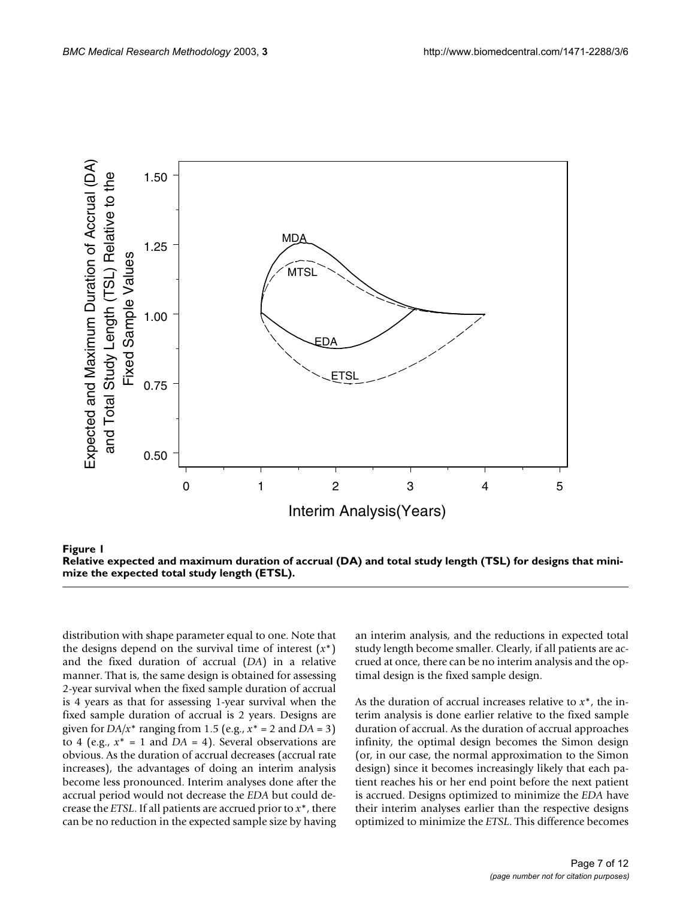<span id="page-6-0"></span>

**Figure 1 Relative expected and maximum duration of accrual (DA) and total study length (TSL) for designs that minimize the expected total study length (ETSL).**

distribution with shape parameter equal to one. Note that the designs depend on the survival time of interest  $(x^*)$ and the fixed duration of accrual (*DA*) in a relative manner. That is, the same design is obtained for assessing 2-year survival when the fixed sample duration of accrual is 4 years as that for assessing 1-year survival when the fixed sample duration of accrual is 2 years. Designs are given for *DA/x*\* ranging from 1.5 (e.g., *x*\* = 2 and *DA* = 3) to 4 (e.g.,  $x^* = 1$  and  $DA = 4$ ). Several observations are obvious. As the duration of accrual decreases (accrual rate increases), the advantages of doing an interim analysis become less pronounced. Interim analyses done after the accrual period would not decrease the *EDA* but could decrease the *ETSL*. If all patients are accrued prior to *x*\*, there can be no reduction in the expected sample size by having an interim analysis, and the reductions in expected total study length become smaller. Clearly, if all patients are accrued at once, there can be no interim analysis and the optimal design is the fixed sample design.

As the duration of accrual increases relative to *x*\*, the interim analysis is done earlier relative to the fixed sample duration of accrual. As the duration of accrual approaches infinity, the optimal design becomes the Simon design (or, in our case, the normal approximation to the Simon design) since it becomes increasingly likely that each patient reaches his or her end point before the next patient is accrued. Designs optimized to minimize the *EDA* have their interim analyses earlier than the respective designs optimized to minimize the *ETSL*. This difference becomes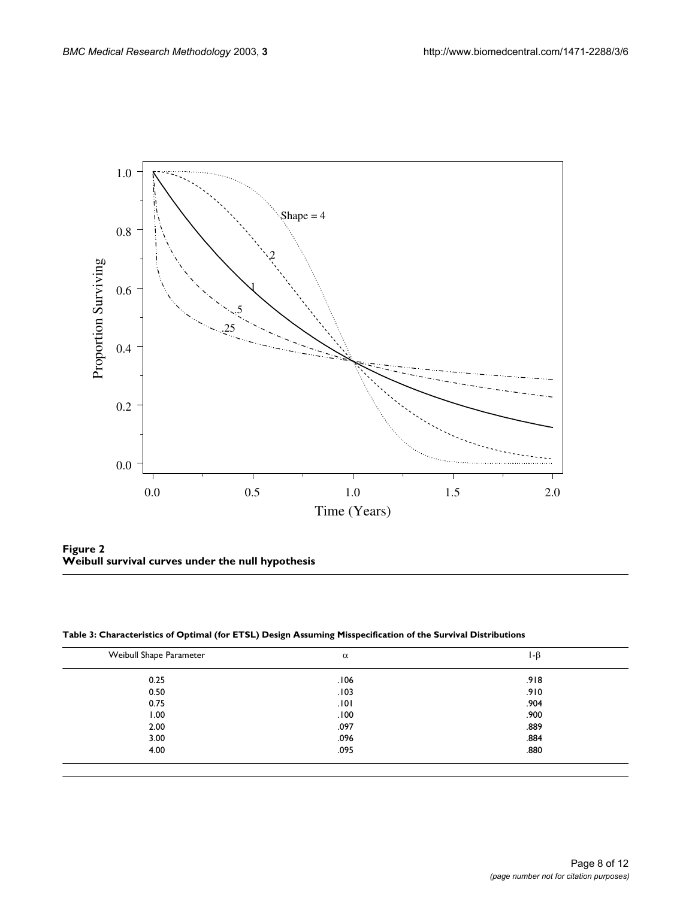

**Figure 2 Weibull survival curves under the null hypothesis**

<span id="page-7-0"></span>**Table 3: Characteristics of Optimal (for ETSL) Design Assuming Misspecification of the Survival Distributions**

| Weibull Shape Parameter | $\alpha$ | $I - \beta$ |  |  |
|-------------------------|----------|-------------|--|--|
| 0.25                    | .106     | .918        |  |  |
| 0.50                    | .103     | .910        |  |  |
| 0.75                    | .101     | .904        |  |  |
| 1.00                    | .100     | .900        |  |  |
| 2.00                    | .097     | .889        |  |  |
| 3.00                    | .096     | .884        |  |  |
| 4.00                    | .095     | .880        |  |  |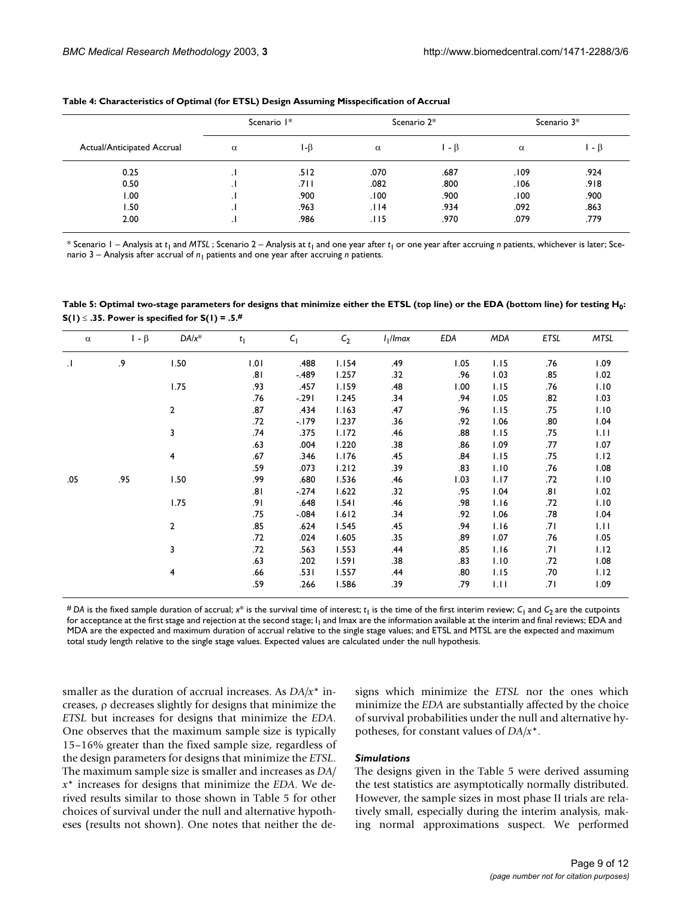| <b>Actual/Anticipated Accrual</b> | Scenario I* |       |          | Scenario 2* | Scenario 3* |          |
|-----------------------------------|-------------|-------|----------|-------------|-------------|----------|
|                                   | $\alpha$    | l-β   | $\alpha$ | $-\beta$    | $\alpha$    | $-\beta$ |
| 0.25                              | . .         | .512  | .070     | .687        | .109        | .924     |
| 0.50                              | . 1         | .71 L | .082     | .800        | .106        | .918     |
| 1.00                              | . .         | .900  | .100     | .900        | .100        | .900     |
| I.50                              | . .         | .963  | .114     | .934        | .092        | .863     |
| 2.00                              | . .         | .986  | .115     | .970        | .079        | .779     |

<span id="page-8-0"></span>**Table 4: Characteristics of Optimal (for ETSL) Design Assuming Misspecification of Accrual**

\* Scenario 1 – Analysis at *t*1 and *MTSL* ; Scenario 2 – Analysis at *t*1 and one year after *t*1 or one year after accruing *n* patients, whichever is later; Scenario 3 – Analysis after accrual of  $n_1$  patients and one year after accruing *n* patients.

<span id="page-8-1"></span>Table 5: Optimal two-stage parameters for designs that minimize either the ETSL (top line) or the EDA (bottom line) for testing H<sub>0</sub>: **S(1)** ≤ **.35. Power is specified for S(1) = .5.#**

| $\alpha$ | $1 - \beta$ | $DA/x^*$       | $t_{\parallel}$ | $C_{1}$  | $C_2$ | I <sub>1</sub> /Imax | EDA  | <b>MDA</b> | <b>ETSL</b> | <b>MTSL</b> |
|----------|-------------|----------------|-----------------|----------|-------|----------------------|------|------------|-------------|-------------|
| $\cdot$  | .9          | 1.50           | 1.01            | .488     | 1.154 | .49                  | 1.05 | 1.15       | .76         | 1.09        |
|          |             |                | .81             | $-489$   | 1.257 | .32                  | .96  | 1.03       | .85         | 1.02        |
|          |             | 1.75           | .93             | .457     | 1.159 | .48                  | 1.00 | 1.15       | .76         | 1.10        |
|          |             |                | .76             | $-291$   | 1.245 | .34                  | .94  | 1.05       | .82         | 1.03        |
|          |             | $\overline{2}$ | .87             | .434     | 1.163 | .47                  | .96  | 1.15       | .75         | 1.10        |
|          |             |                | .72             | -.179    | 1.237 | .36                  | .92  | 1.06       | .80         | 1.04        |
|          |             | 3              | .74             | .375     | 1.172 | .46                  | .88  | 1.15       | .75         | 1.11        |
|          |             |                | .63             | .004     | 1.220 | .38                  | .86  | 1.09       | .77         | 1.07        |
|          |             | 4              | .67             | .346     | 1.176 | .45                  | .84  | 1.15       | .75         | 1.12        |
|          |             |                | .59             | .073     | 1.212 | .39                  | .83  | 1.10       | .76         | 0.1         |
| .05      | .95         | 1.50           | .99             | .680     | 1.536 | .46                  | 1.03 | 1.17       | .72         | 1.10        |
|          |             |                | .81             | $-274$   | 1.622 | .32                  | .95  | 1.04       | .81         | 1.02        |
|          |             | 1.75           | .9۱             | .648     | 1.541 | .46                  | .98  | 1.16       | .72         | 1.10        |
|          |             |                | .75             | $-0.084$ | 1.612 | .34                  | .92  | 1.06       | .78         | 1.04        |
|          |             | $\mathbf{2}$   | .85             | .624     | 1.545 | .45                  | .94  | 1.16       | .71         | 1.11        |
|          |             |                | .72             | .024     | 1.605 | .35                  | .89  | 1.07       | .76         | 1.05        |
|          |             | 3              | .72             | .563     | 1.553 | .44                  | .85  | 1.16       | ا7.         | 1.12        |
|          |             |                | .63             | .202     | 1.591 | .38                  | .83  | 1.10       | .72         | 0.1         |
|          |             | 4              | .66             | .531     | 1.557 | .44                  | .80  | 1.15       | .70         | 1.12        |
|          |             |                | .59             | .266     | 1.586 | .39                  | .79  | 1.11       | .71         | 1.09        |

# DA is the fixed sample duration of accrual;  $x^*$  is the survival time of interest;  $t_1$  is the time of the first interim review;  $C_1$  and  $C_2$  are the cutpoints for acceptance at the first stage and rejection at the second stage;  $I_1$  and Imax are the information available at the interim and final reviews; EDA and MDA are the expected and maximum duration of accrual relative to the single stage values; and ETSL and MTSL are the expected and maximum total study length relative to the single stage values. Expected values are calculated under the null hypothesis.

smaller as the duration of accrual increases. As *DA/x*\* increases, ρ decreases slightly for designs that minimize the *ETSL* but increases for designs that minimize the *EDA*. One observes that the maximum sample size is typically 15–16% greater than the fixed sample size, regardless of the design parameters for designs that minimize the *ETSL*. The maximum sample size is smaller and increases as *DA/ x*\* increases for designs that minimize the *EDA*. We derived results similar to those shown in Table [5](#page-8-1) for other choices of survival under the null and alternative hypotheses (results not shown). One notes that neither the designs which minimize the *ETSL* nor the ones which minimize the *EDA* are substantially affected by the choice of survival probabilities under the null and alternative hypotheses, for constant values of *DA/x*\*.

#### *Simulations*

The designs given in the Table [5](#page-8-1) were derived assuming the test statistics are asymptotically normally distributed. However, the sample sizes in most phase II trials are relatively small, especially during the interim analysis, making normal approximations suspect. We performed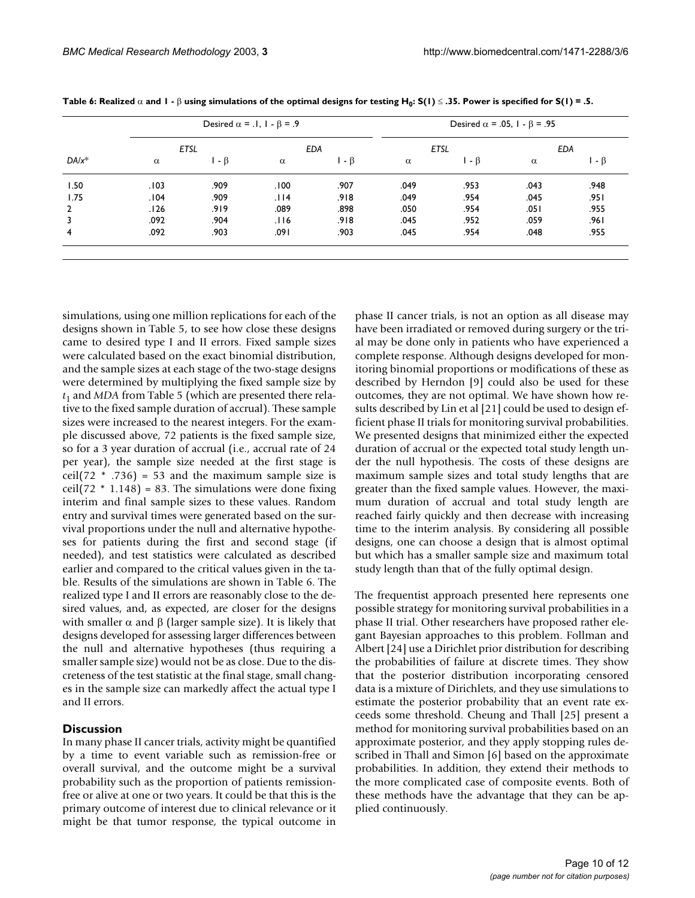| $DA/x^*$       |             |             | Desired $\alpha$ = .1, 1 - $\beta$ = .9 | Desired $\alpha$ = .05, 1 - $\beta$ = .95 |             |             |            |             |
|----------------|-------------|-------------|-----------------------------------------|-------------------------------------------|-------------|-------------|------------|-------------|
|                | <b>ETSL</b> |             | <b>EDA</b>                              |                                           | <b>ETSL</b> |             | <b>EDA</b> |             |
|                | $\alpha$    | $I - \beta$ | $\alpha$                                | $1 - \beta$                               | $\alpha$    | $I - \beta$ | $\alpha$   | $1 - \beta$ |
| 1.50           | .103        | .909        | .100                                    | .907                                      | .049        | .953        | .043       | .948        |
| 1.75           | .104        | .909        | .114                                    | .918                                      | .049        | .954        | .045       | .951        |
| $\overline{2}$ | .126        | .919        | .089                                    | .898                                      | .050        | .954        | .051       | .955        |
| 3              | .092        | .904        | .116                                    | .918                                      | .045        | .952        | .059       | .961        |
| 4              | .092        | .903        | .091                                    | .903                                      | .045        | .954        | .048       | .955        |

<span id="page-9-0"></span>Table 6: Realized  $\alpha$  and  $1 - \beta$  using simulations of the optimal designs for testing H<sub>0</sub>: S(1)  $\leq$  .35. Power is specified for S(1) = .5.

simulations, using one million replications for each of the designs shown in Table [5,](#page-8-1) to see how close these designs came to desired type I and II errors. Fixed sample sizes were calculated based on the exact binomial distribution, and the sample sizes at each stage of the two-stage designs were determined by multiplying the fixed sample size by *t*1 and *MDA* from Table [5](#page-8-1) (which are presented there relative to the fixed sample duration of accrual). These sample sizes were increased to the nearest integers. For the example discussed above, 72 patients is the fixed sample size, so for a 3 year duration of accrual (i.e., accrual rate of 24 per year), the sample size needed at the first stage is ceil(72  $*$  .736) = 53 and the maximum sample size is ceil(72  $*$  1.148) = 83. The simulations were done fixing interim and final sample sizes to these values. Random entry and survival times were generated based on the survival proportions under the null and alternative hypotheses for patients during the first and second stage (if needed), and test statistics were calculated as described earlier and compared to the critical values given in the table. Results of the simulations are shown in Table [6](#page-9-0). The realized type I and II errors are reasonably close to the desired values, and, as expected, are closer for the designs with smaller  $\alpha$  and  $\beta$  (larger sample size). It is likely that designs developed for assessing larger differences between the null and alternative hypotheses (thus requiring a smaller sample size) would not be as close. Due to the discreteness of the test statistic at the final stage, small changes in the sample size can markedly affect the actual type I and II errors.

### **Discussion**

In many phase II cancer trials, activity might be quantified by a time to event variable such as remission-free or overall survival, and the outcome might be a survival probability such as the proportion of patients remissionfree or alive at one or two years. It could be that this is the primary outcome of interest due to clinical relevance or it might be that tumor response, the typical outcome in

phase II cancer trials, is not an option as all disease may have been irradiated or removed during surgery or the trial may be done only in patients who have experienced a complete response. Although designs developed for monitoring binomial proportions or modifications of these as described by Herndon [9] could also be used for these outcomes, they are not optimal. We have shown how results described by Lin et al [21] could be used to design efficient phase II trials for monitoring survival probabilities. We presented designs that minimized either the expected duration of accrual or the expected total study length under the null hypothesis. The costs of these designs are maximum sample sizes and total study lengths that are greater than the fixed sample values. However, the maximum duration of accrual and total study length are reached fairly quickly and then decrease with increasing time to the interim analysis. By considering all possible designs, one can choose a design that is almost optimal but which has a smaller sample size and maximum total study length than that of the fully optimal design.

The frequentist approach presented here represents one possible strategy for monitoring survival probabilities in a phase II trial. Other researchers have proposed rather elegant Bayesian approaches to this problem. Follman and Albert [24] use a Dirichlet prior distribution for describing the probabilities of failure at discrete times. They show that the posterior distribution incorporating censored data is a mixture of Dirichlets, and they use simulations to estimate the posterior probability that an event rate exceeds some threshold. Cheung and Thall [25] present a method for monitoring survival probabilities based on an approximate posterior, and they apply stopping rules described in Thall and Simon [6] based on the approximate probabilities. In addition, they extend their methods to the more complicated case of composite events. Both of these methods have the advantage that they can be applied continuously.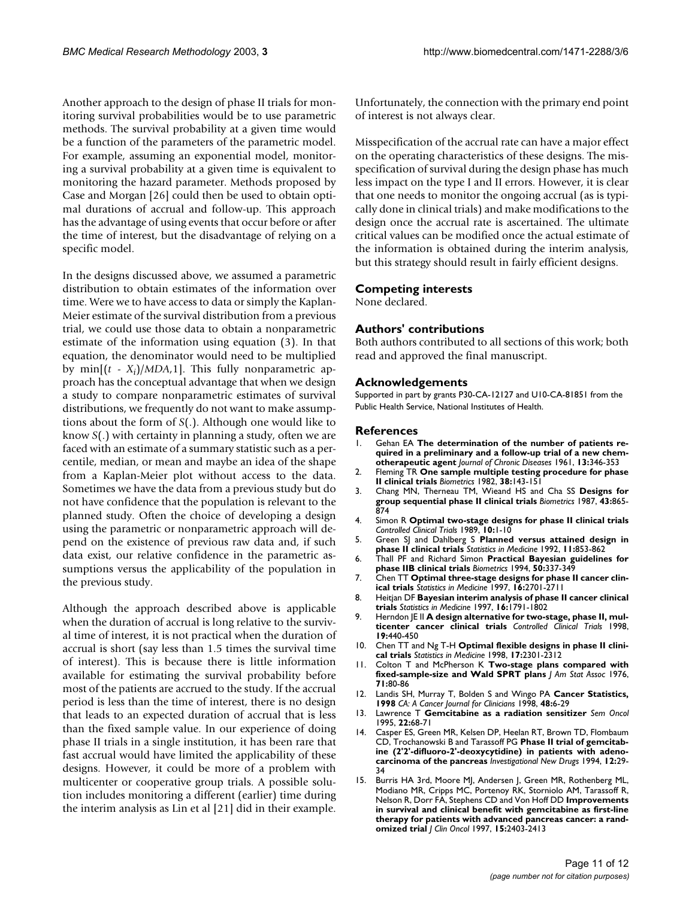Another approach to the design of phase II trials for monitoring survival probabilities would be to use parametric methods. The survival probability at a given time would be a function of the parameters of the parametric model. For example, assuming an exponential model, monitoring a survival probability at a given time is equivalent to monitoring the hazard parameter. Methods proposed by Case and Morgan [26] could then be used to obtain optimal durations of accrual and follow-up. This approach has the advantage of using events that occur before or after the time of interest, but the disadvantage of relying on a specific model.

In the designs discussed above, we assumed a parametric distribution to obtain estimates of the information over time. Were we to have access to data or simply the Kaplan-Meier estimate of the survival distribution from a previous trial, we could use those data to obtain a nonparametric estimate of the information using equation (3). In that equation, the denominator would need to be multiplied by min[(*t* - *Xi* )/*MDA*,1]. This fully nonparametric approach has the conceptual advantage that when we design a study to compare nonparametric estimates of survival distributions, we frequently do not want to make assumptions about the form of *S*(.). Although one would like to know *S*(.) with certainty in planning a study, often we are faced with an estimate of a summary statistic such as a percentile, median, or mean and maybe an idea of the shape from a Kaplan-Meier plot without access to the data. Sometimes we have the data from a previous study but do not have confidence that the population is relevant to the planned study. Often the choice of developing a design using the parametric or nonparametric approach will depend on the existence of previous raw data and, if such data exist, our relative confidence in the parametric assumptions versus the applicability of the population in the previous study.

Although the approach described above is applicable when the duration of accrual is long relative to the survival time of interest, it is not practical when the duration of accrual is short (say less than 1.5 times the survival time of interest). This is because there is little information available for estimating the survival probability before most of the patients are accrued to the study. If the accrual period is less than the time of interest, there is no design that leads to an expected duration of accrual that is less than the fixed sample value. In our experience of doing phase II trials in a single institution, it has been rare that fast accrual would have limited the applicability of these designs. However, it could be more of a problem with multicenter or cooperative group trials. A possible solution includes monitoring a different (earlier) time during the interim analysis as Lin et al [21] did in their example. Unfortunately, the connection with the primary end point of interest is not always clear.

Misspecification of the accrual rate can have a major effect on the operating characteristics of these designs. The misspecification of survival during the design phase has much less impact on the type I and II errors. However, it is clear that one needs to monitor the ongoing accrual (as is typically done in clinical trials) and make modifications to the design once the accrual rate is ascertained. The ultimate critical values can be modified once the actual estimate of the information is obtained during the interim analysis, but this strategy should result in fairly efficient designs.

#### **Competing interests**

None declared.

#### **Authors' contributions**

Both authors contributed to all sections of this work; both read and approved the final manuscript.

#### **Acknowledgements**

Supported in part by grants P30-CA-12127 and U10-CA-81851 from the Public Health Service, National Institutes of Health.

#### **References**

- 1. Gehan EA **The determination of the number of patients required in a preliminary and a follow-up trial of a new chemotherapeutic agent** *Journal of Chronic Diseases* 1961, **13:**346-353
- 2. Fleming TR **[One sample multiple testing procedure for phase](http://www.ncbi.nlm.nih.gov/entrez/query.fcgi?cmd=Retrieve&db=PubMed&dopt=Abstract&list_uids=7082756) [II clinical trials](http://www.ncbi.nlm.nih.gov/entrez/query.fcgi?cmd=Retrieve&db=PubMed&dopt=Abstract&list_uids=7082756)** *Biometrics* 1982, **38:**143-151
- 3. Chang MN, Therneau TM, Wieand HS and Cha SS **[Designs for](http://www.ncbi.nlm.nih.gov/entrez/query.fcgi?cmd=Retrieve&db=PubMed&dopt=Abstract&list_uids=3427171) [group sequential phase II clinical trials](http://www.ncbi.nlm.nih.gov/entrez/query.fcgi?cmd=Retrieve&db=PubMed&dopt=Abstract&list_uids=3427171)** *Biometrics* 1987, **43:**865- 874
- 4. Simon R **[Optimal two-stage designs for phase II clinical trials](http://www.ncbi.nlm.nih.gov/entrez/query.fcgi?cmd=Retrieve&db=PubMed&dopt=Abstract&list_uids=2702835)** *Controlled Clinical Trials* 1989, **10:**1-10
- 5. Green SJ and Dahlberg S **[Planned versus attained design in](http://www.ncbi.nlm.nih.gov/entrez/query.fcgi?cmd=Retrieve&db=PubMed&dopt=Abstract&list_uids=1604065) [phase II clinical trials](http://www.ncbi.nlm.nih.gov/entrez/query.fcgi?cmd=Retrieve&db=PubMed&dopt=Abstract&list_uids=1604065)** *Statistics in Medicine* 1992, **11:**853-862
- 6. Thall PF and Richard Simon **[Practical Bayesian guidelines for](http://www.ncbi.nlm.nih.gov/entrez/query.fcgi?cmd=Retrieve&db=PubMed&dopt=Abstract&list_uids=7980801) [phase IIB clinical trials](http://www.ncbi.nlm.nih.gov/entrez/query.fcgi?cmd=Retrieve&db=PubMed&dopt=Abstract&list_uids=7980801)** *Biometrics* 1994, **50:**337-349
- 7. Chen TT **[Optimal three-stage designs for phase II cancer clin](http://www.ncbi.nlm.nih.gov/entrez/query.fcgi?cmd=Retrieve&db=PubMed&dopt=Abstract&list_uids=9421870)[ical trials](http://www.ncbi.nlm.nih.gov/entrez/query.fcgi?cmd=Retrieve&db=PubMed&dopt=Abstract&list_uids=9421870)** *Statistics in Medicine* 1997, **16:**2701-2711
- 8. Heitjan DF **[Bayesian interim analysis of phase II cancer clinical](http://www.ncbi.nlm.nih.gov/entrez/query.fcgi?cmd=Retrieve&db=PubMed&dopt=Abstract&list_uids=9280033) [trials](http://www.ncbi.nlm.nih.gov/entrez/query.fcgi?cmd=Retrieve&db=PubMed&dopt=Abstract&list_uids=9280033)** *Statistics in Medicine* 1997, **16:**1791-1802
- 9. Herndon JE II **[A design alternative for two-stage, phase II, mul](http://www.ncbi.nlm.nih.gov/entrez/query.fcgi?cmd=Retrieve&db=PubMed&dopt=Abstract&list_uids=9741865)[ticenter cancer clinical trials](http://www.ncbi.nlm.nih.gov/entrez/query.fcgi?cmd=Retrieve&db=PubMed&dopt=Abstract&list_uids=9741865)** *Controlled Clinical Trials* 1998, **19:**440-450
- 10. Chen TT and Ng T-H **[Optimal flexible designs in phase II clini](http://www.ncbi.nlm.nih.gov/entrez/query.fcgi?cmd=Retrieve&db=PubMed&dopt=Abstract&list_uids=9819829)[cal trials](http://www.ncbi.nlm.nih.gov/entrez/query.fcgi?cmd=Retrieve&db=PubMed&dopt=Abstract&list_uids=9819829)** *Statistics in Medicine* 1998, **17:**2301-2312
- 11. Colton T and McPherson K **Two-stage plans compared with fixed-sample-size and Wald SPRT plans** *J Am Stat Assoc* 1976, **71:**80-86
- 12. Landis SH, Murray T, Bolden S and Wingo PA **[Cancer Statistics,](http://www.ncbi.nlm.nih.gov/entrez/query.fcgi?cmd=Retrieve&db=PubMed&dopt=Abstract&list_uids=9449931) [1998](http://www.ncbi.nlm.nih.gov/entrez/query.fcgi?cmd=Retrieve&db=PubMed&dopt=Abstract&list_uids=9449931)** *CA: A Cancer Journal for Clinicians* 1998, **48:**6-29
- 13. Lawrence T **Gemcitabine as a radiation sensitizer** *Sem Oncol* 1995, **22:**68-71
- 14. Casper ES, Green MR, Kelsen DP, Heelan RT, Brown TD, Flombaum CD, Trochanowski B and Tarassoff PG **[Phase II trial of gemcitab](http://www.ncbi.nlm.nih.gov/entrez/query.fcgi?cmd=Retrieve&db=PubMed&dopt=Abstract&list_uids=7960602)[ine \(2'2'-difluoro-2'-deoxycytidine\) in patients with adeno](http://www.ncbi.nlm.nih.gov/entrez/query.fcgi?cmd=Retrieve&db=PubMed&dopt=Abstract&list_uids=7960602)[carcinoma of the pancreas](http://www.ncbi.nlm.nih.gov/entrez/query.fcgi?cmd=Retrieve&db=PubMed&dopt=Abstract&list_uids=7960602)** *Investigational New Drugs* 1994, **12:**29- 34
- 15. Burris HA 3rd, Moore MJ, Andersen J, Green MR, Rothenberg ML, Modiano MR, Cripps MC, Portenoy RK, Storniolo AM, Tarassoff R, Nelson R, Dorr FA, Stephens CD and Von Hoff DD **[Improvements](http://www.ncbi.nlm.nih.gov/entrez/query.fcgi?cmd=Retrieve&db=PubMed&dopt=Abstract&list_uids=9196156) [in survival and clinical benefit with gemcitabine as first-line](http://www.ncbi.nlm.nih.gov/entrez/query.fcgi?cmd=Retrieve&db=PubMed&dopt=Abstract&list_uids=9196156) therapy for patients with advanced pancreas cancer: a rand[omized trial](http://www.ncbi.nlm.nih.gov/entrez/query.fcgi?cmd=Retrieve&db=PubMed&dopt=Abstract&list_uids=9196156)** *J Clin Oncol* 1997, **15:**2403-2413